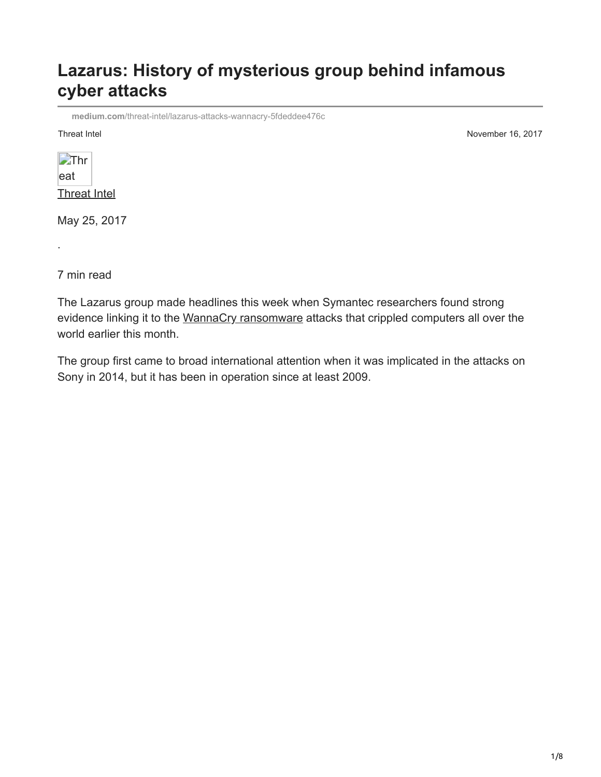# **Lazarus: History of mysterious group behind infamous cyber attacks**

**medium.com**[/threat-intel/lazarus-attacks-wannacry-5fdeddee476c](https://medium.com/threat-intel/lazarus-attacks-wannacry-5fdeddee476c)

Threat Intel November 16, 2017

| Thr          |  |
|--------------|--|
| eat          |  |
| Threat Intel |  |

May 25, 2017

7 min read

·

The Lazarus group made headlines this week when Symantec researchers found strong evidence linking it to the [WannaCry ransomware](https://www.symantec.com/connect/blogs/wannacry-ransomware-attacks-show-strong-links-lazarus-group) attacks that crippled computers all over the world earlier this month.

The group first came to broad international attention when it was implicated in the attacks on Sony in 2014, but it has been in operation since at least 2009.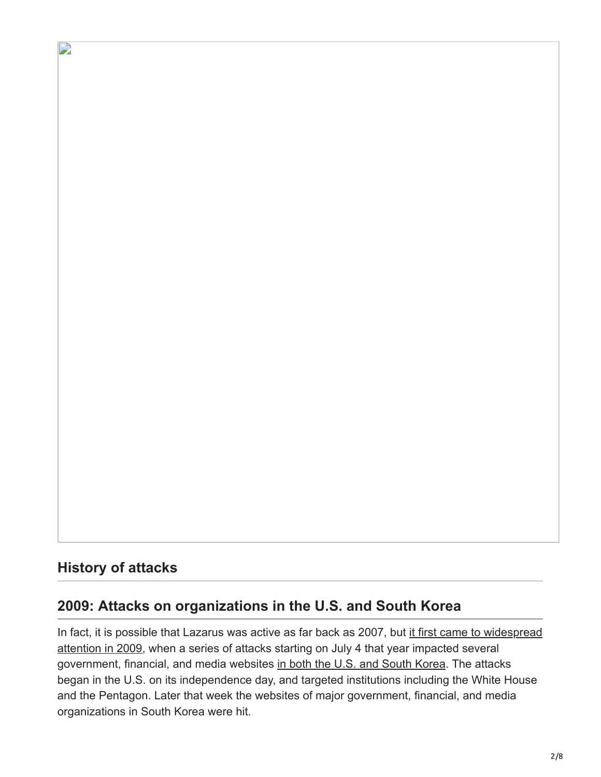## **History of attacks**

D

### **2009: Attacks on organizations in the U.S. and South Korea**

[In fact, it is possible that Lazarus was active as far back as 2007, but it first came to widespread](https://www.symantec.com/connect/blogs/born-4th-july) attention in 2009, when a series of attacks starting on July 4 that year impacted several government, financial, and media websites [in both the U.S. and South Korea](https://www.theguardian.com/world/2009/jul/08/south-korea-cyber-attack). The attacks began in the U.S. on its independence day, and targeted institutions including the White House and the Pentagon. Later that week the websites of major government, financial, and media organizations in South Korea were hit.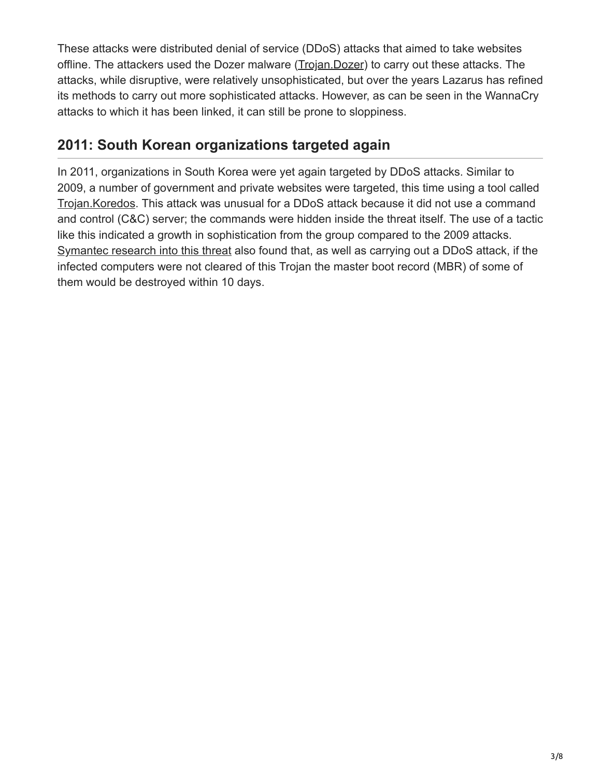These attacks were distributed denial of service (DDoS) attacks that aimed to take websites offline. The attackers used the Dozer malware ([Trojan.Dozer\)](https://www.symantec.com/security_response/writeup.jsp?docid=2009-070814-5311-99) to carry out these attacks. The attacks, while disruptive, were relatively unsophisticated, but over the years Lazarus has refined its methods to carry out more sophisticated attacks. However, as can be seen in the WannaCry attacks to which it has been linked, it can still be prone to sloppiness.

## **2011: South Korean organizations targeted again**

In 2011, organizations in South Korea were yet again targeted by DDoS attacks. Similar to 2009, a number of government and private websites were targeted, this time using a tool called [Trojan.Koredos.](https://www.symantec.com/security_response/writeup.jsp?docid=2011-030417-4602-99) This attack was unusual for a DDoS attack because it did not use a command and control (C&C) server; the commands were hidden inside the threat itself. The use of a tactic like this indicated a growth in sophistication from the group compared to the 2009 attacks. [Symantec research into this threat](https://www.symantec.com/connect/blogs/trojankoredos-comes-unwelcomed-surprise) also found that, as well as carrying out a DDoS attack, if the infected computers were not cleared of this Trojan the master boot record (MBR) of some of them would be destroyed within 10 days.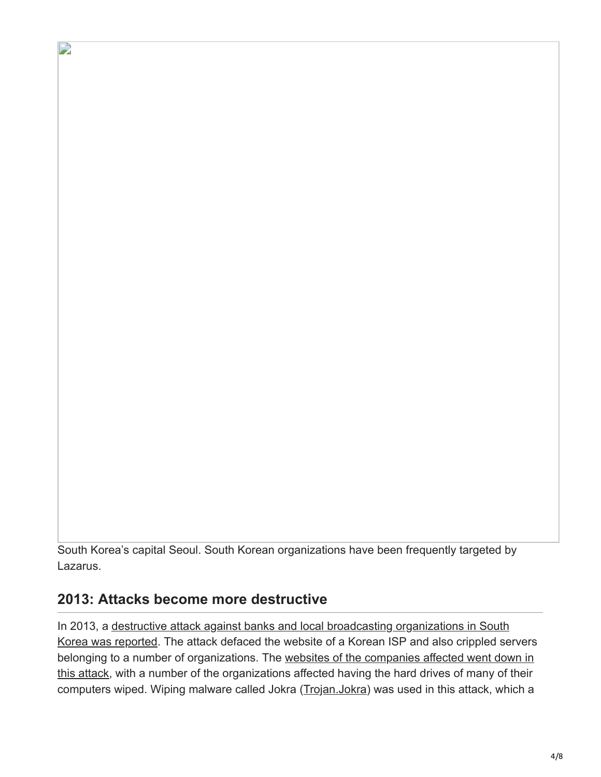South Korea's capital Seoul. South Korean organizations have been frequently targeted by Lazarus.

### **2013: Attacks become more destructive**

D

In 2013, a destructive attack against banks and local broadcasting organizations in South [Korea was reported. The attack defaced the website of a Korean ISP and also crippled se](http://www.nytimes.com/2013/03/21/world/asia/south-korea-computer-network-crashes.html)rvers [belonging to a number of organizations. The websites of the companies affected went down in](https://www.symantec.com/connect/blogs/south-korean-banks-and-broadcasting-organizations-suffer-major-damage-cyberattack) this attack, with a number of the organizations affected having the hard drives of many of their computers wiped. Wiping malware called Jokra [\(Trojan.Jokra\)](https://www.symantec.com/security_response/writeup.jsp?docid=2013-032014-2531-99) was used in this attack, which a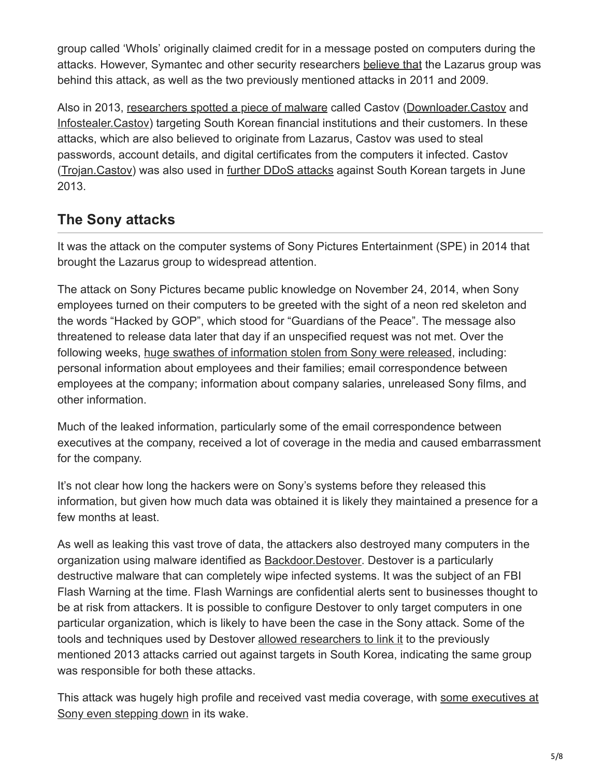group called 'WhoIs' originally claimed credit for in a message posted on computers during the attacks. However, Symantec and other security researchers [believe that](https://www.symantec.com/connect/blogs/are-2011-and-2013-south-korean-cyberattacks-related) the Lazarus group was behind this attack, as well as the two previously mentioned attacks in 2011 and 2009.

Also in 2013, [researchers spotted a piece of malware](https://www.symantec.com/connect/blogs/south-korean-financial-companies-targeted-castov) called Castov [\(Downloader.Castov](http://www.symantec.com/security_response/writeup.jsp?docid=2013-052411-0628-99) and [Infostealer.Castov](http://www.symantec.com/security_response/writeup.jsp?docid=2013-052416-2237-99)) targeting South Korean financial institutions and their customers. In these attacks, which are also believed to originate from Lazarus, Castov was used to steal passwords, account details, and digital certificates from the computers it infected. Castov [\(Trojan.Castov\)](https://www.symantec.com/security_response/writeup.jsp?docid=2013-062618-2656-99) was also used in [further DDoS attacks](https://www.symantec.com/connect/blogs/four-years-darkseoul-cyberattacks-against-south-korea-continue-anniversary-korean-war) against South Korean targets in June 2013.

## **The Sony attacks**

It was the attack on the computer systems of Sony Pictures Entertainment (SPE) in 2014 that brought the Lazarus group to widespread attention.

The attack on Sony Pictures became public knowledge on November 24, 2014, when Sony employees turned on their computers to be greeted with the sight of a neon red skeleton and the words "Hacked by GOP", which stood for "Guardians of the Peace". The message also threatened to release data later that day if an unspecified request was not met. Over the following weeks, [huge swathes of information stolen from Sony were released](https://www.washingtonpost.com/news/the-switch/wp/2014/12/18/the-sony-pictures-hack-explained/?utm_term=.a7d06538d573), including: personal information about employees and their families; email correspondence between employees at the company; information about company salaries, unreleased Sony films, and other information.

Much of the leaked information, particularly some of the email correspondence between executives at the company, received a lot of coverage in the media and caused embarrassment for the company.

It's not clear how long the hackers were on Sony's systems before they released this information, but given how much data was obtained it is likely they maintained a presence for a few months at least.

As well as leaking this vast trove of data, the attackers also destroyed many computers in the organization using malware identified as **[Backdoor.Destover](https://www.symantec.com/security_response/writeup.jsp?docid=2014-120209-5631-99)**. Destover is a particularly destructive malware that can completely wipe infected systems. It was the subject of an FBI Flash Warning at the time. Flash Warnings are confidential alerts sent to businesses thought to be at risk from attackers. It is possible to configure Destover to only target computers in one particular organization, which is likely to have been the case in the Sony attack. Some of the tools and techniques used by Destover [allowed researchers to link it](https://www.symantec.com/connect/blogs/destover-destructive-malware-has-links-attacks-south-korea) to the previously mentioned 2013 attacks carried out against targets in South Korea, indicating the same group was responsible for both these attacks.

[This attack was hugely high profile and received vast media coverage, with some executives at](https://www.theguardian.com/film/2015/feb/05/amy-pascal-leaving-sony-pictures-email-leak) Sony even stepping down in its wake.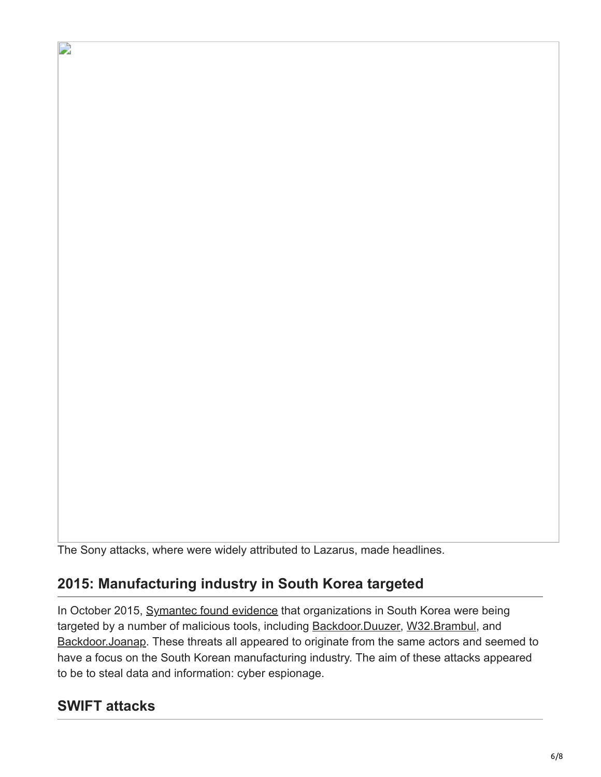The Sony attacks, where were widely attributed to Lazarus, made headlines.

## **2015: Manufacturing industry in South Korea targeted**

In October 2015, [Symantec found evidence](https://www.symantec.com/connect/blogs/duuzer-back-door-trojan-targets-south-korea-take-over-computers) that organizations in South Korea were being targeted by a number of malicious tools, including [Backdoor.Duuzer,](https://www.symantec.com/security_response/writeup.jsp?docid=2015-082113-4423-99) [W32.Brambul](https://www.symantec.com/security_response/writeup.jsp?docid=2015-051114-3802-99), and [Backdoor.Joanap.](https://www.symantec.com/security_response/writeup.jsp?docid=2015-092507-0410-99) These threats all appeared to originate from the same actors and seemed to have a focus on the South Korean manufacturing industry. The aim of these attacks appeared to be to steal data and information: cyber espionage.

### **SWIFT attacks**

D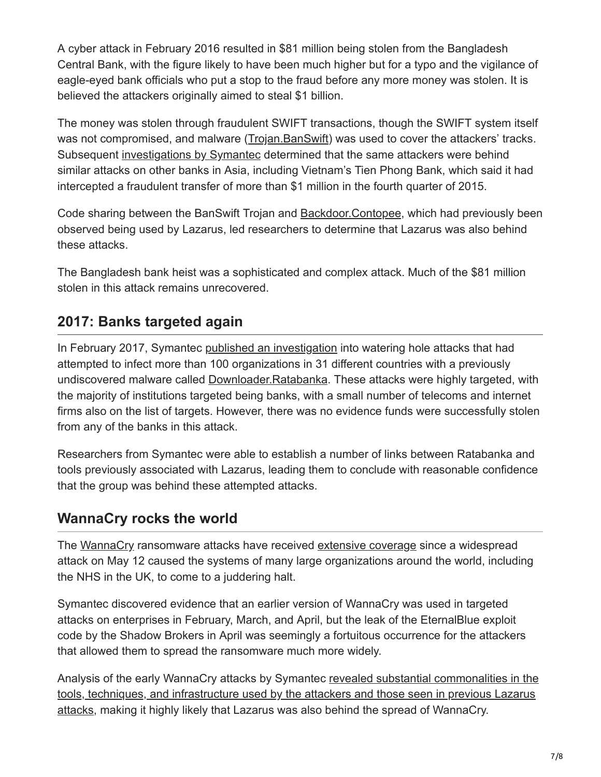A cyber attack in February 2016 resulted in \$81 million being stolen from the Bangladesh Central Bank, with the figure likely to have been much higher but for a typo and the vigilance of eagle-eyed bank officials who put a stop to the fraud before any more money was stolen. It is believed the attackers originally aimed to steal \$1 billion.

The money was stolen through fraudulent SWIFT transactions, though the SWIFT system itself was not compromised, and malware ([Trojan.BanSwift\)](https://www.symantec.com/security_response/writeup.jsp?docid=2016-042523-1230-99) was used to cover the attackers' tracks. Subsequent [investigations by Symantec](https://www.symantec.com/connect/blogs/swift-attackers-malware-linked-more-financial-attacks) determined that the same attackers were behind similar attacks on other banks in Asia, including Vietnam's Tien Phong Bank, which said it had intercepted a fraudulent transfer of more than \$1 million in the fourth quarter of 2015.

Code sharing between the BanSwift Trojan and [Backdoor.Contopee,](https://www.symantec.com/security_response/writeup.jsp?docid=2016-021515-4543-99) which had previously been observed being used by Lazarus, led researchers to determine that Lazarus was also behind these attacks.

The Bangladesh bank heist was a sophisticated and complex attack. Much of the \$81 million stolen in this attack remains unrecovered.

## **2017: Banks targeted again**

In February 2017, Symantec [published an investigation](https://www.symantec.com/connect/blogs/attackers-target-dozens-global-banks-new-malware) into watering hole attacks that had attempted to infect more than 100 organizations in 31 different countries with a previously undiscovered malware called [Downloader.Ratabanka.](https://www.symantec.com/security_response/writeup.jsp?docid=2017-020908-1134-99) These attacks were highly targeted, with the majority of institutions targeted being banks, with a small number of telecoms and internet firms also on the list of targets. However, there was no evidence funds were successfully stolen from any of the banks in this attack.

Researchers from Symantec were able to establish a number of links between Ratabanka and tools previously associated with Lazarus, leading them to conclude with reasonable confidence that the group was behind these attempted attacks.

## **WannaCry rocks the world**

The [WannaCry](https://www.symantec.com/security_response/writeup.jsp?docid=2017-051310-3522-99) ransomware attacks have received [extensive coverage](https://www.symantec.com/connect/blogs/what-you-need-know-about-wannacry-ransomware) since a widespread attack on May 12 caused the systems of many large organizations around the world, including the NHS in the UK, to come to a juddering halt.

Symantec discovered evidence that an earlier version of WannaCry was used in targeted attacks on enterprises in February, March, and April, but the leak of the EternalBlue exploit code by the Shadow Brokers in April was seemingly a fortuitous occurrence for the attackers that allowed them to spread the ransomware much more widely.

[Analysis of the early WannaCry attacks by Symantec revealed substantial commonalities in the](https://www.symantec.com/connect/blogs/wannacry-ransomware-attacks-show-strong-links-lazarus-group) tools, techniques, and infrastructure used by the attackers and those seen in previous Lazarus attacks, making it highly likely that Lazarus was also behind the spread of WannaCry.